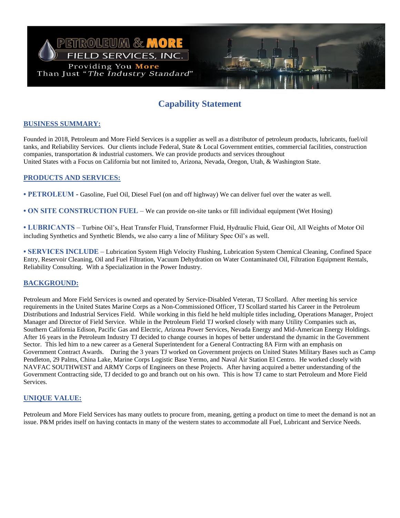

# **Capability Statement**

## **BUSINESS SUMMARY:**

Founded in 2018, Petroleum and More Field Services is a supplier as well as a distributor of petroleum products, lubricants, fuel/oil tanks, and Reliability Services. Our clients include Federal, State & Local Government entities, commercial facilities, construction companies, transportation & industrial customers. We can provide products and services throughout United States with a Focus on California but not limited to, Arizona, Nevada, Oregon, Utah, & Washington State.

### **PRODUCTS AND SERVICES:**

**• PETROLEUM** - Gasoline, Fuel Oil, Diesel Fuel (on and off highway) We can deliver fuel over the water as well.

**• ON SITE CONSTRUCTION FUEL** – We can provide on-site tanks or fill individual equipment (Wet Hosing)

**• LUBRICANTS** – Turbine Oil's, Heat Transfer Fluid, Transformer Fluid, Hydraulic Fluid, Gear Oil, All Weights of Motor Oil including Synthetics and Synthetic Blends, we also carry a line of Military Spec Oil's as well.

**• SERVICES INCLUDE** – Lubrication System High Velocity Flushing, Lubrication System Chemical Cleaning, Confined Space Entry, Reservoir Cleaning, Oil and Fuel Filtration, Vacuum Dehydration on Water Contaminated Oil, Filtration Equipment Rentals, Reliability Consulting. With a Specialization in the Power Industry.

### **BACKGROUND:**

Petroleum and More Field Services is owned and operated by Service-Disabled Veteran, TJ Scollard. After meeting his service requirements in the United States Marine Corps as a Non-Commissioned Officer, TJ Scollard started his Career in the Petroleum Distributions and Industrial Services Field. While working in this field he held multiple titles including, Operations Manager, Project Manager and Director of Field Service. While in the Petroleum Field TJ worked closely with many Utility Companies such as, Southern California Edison, Pacific Gas and Electric, Arizona Power Services, Nevada Energy and Mid-American Energy Holdings. After 16 years in the Petroleum Industry TJ decided to change courses in hopes of better understand the dynamic in the Government Sector. This led him to a new career as a General Superintendent for a General Contracting 8A Firm with an emphasis on Government Contract Awards. During the 3 years TJ worked on Government projects on United States Military Bases such as Camp Pendleton, 29 Palms, China Lake, Marine Corps Logistic Base Yermo, and Naval Air Station El Centro. He worked closely with NAVFAC SOUTHWEST and ARMY Corps of Engineers on these Projects. After having acquired a better understanding of the Government Contracting side, TJ decided to go and branch out on his own. This is how TJ came to start Petroleum and More Field Services.

### **UNIQUE VALUE:**

Petroleum and More Field Services has many outlets to procure from, meaning, getting a product on time to meet the demand is not an issue. P&M prides itself on having contacts in many of the western states to accommodate all Fuel, Lubricant and Service Needs.